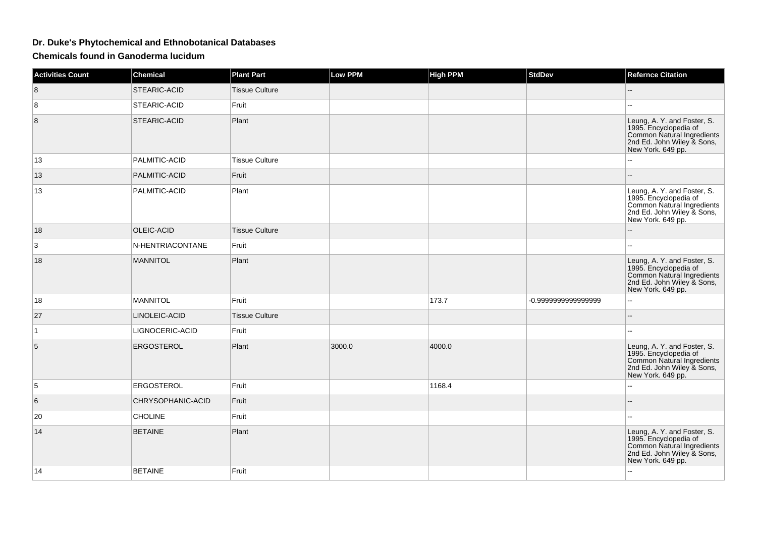## **Dr. Duke's Phytochemical and Ethnobotanical Databases**

**Chemicals found in Ganoderma lucidum**

| <b>Activities Count</b> | <b>Chemical</b>   | <b>Plant Part</b>     | <b>Low PPM</b> | <b>High PPM</b> | <b>StdDev</b>      | <b>Refernce Citation</b>                                                                                                              |
|-------------------------|-------------------|-----------------------|----------------|-----------------|--------------------|---------------------------------------------------------------------------------------------------------------------------------------|
| 8                       | STEARIC-ACID      | <b>Tissue Culture</b> |                |                 |                    |                                                                                                                                       |
| 8                       | STEARIC-ACID      | Fruit                 |                |                 |                    |                                                                                                                                       |
| 8                       | STEARIC-ACID      | Plant                 |                |                 |                    | Leung, A. Y. and Foster, S.<br>1995. Encyclopedia of<br>Common Natural Ingredients<br>2nd Ed. John Wiley & Sons,<br>New York. 649 pp. |
| 13                      | PALMITIC-ACID     | <b>Tissue Culture</b> |                |                 |                    |                                                                                                                                       |
| 13                      | PALMITIC-ACID     | Fruit                 |                |                 |                    |                                                                                                                                       |
| 13                      | PALMITIC-ACID     | Plant                 |                |                 |                    | Leung, A. Y. and Foster, S.<br>1995. Encyclopedia of<br>Common Natural Ingredients<br>2nd Ed. John Wiley & Sons,<br>New York. 649 pp. |
| 18                      | OLEIC-ACID        | Tissue Culture        |                |                 |                    |                                                                                                                                       |
| 3                       | N-HENTRIACONTANE  | Fruit                 |                |                 |                    | $\overline{a}$                                                                                                                        |
| 18                      | <b>MANNITOL</b>   | Plant                 |                |                 |                    | Leung, A. Y. and Foster, S.<br>1995. Encyclopedia of<br>Common Natural Ingredients<br>2nd Ed. John Wiley & Sons,<br>New York. 649 pp. |
| 18                      | <b>MANNITOL</b>   | Fruit                 |                | 173.7           | -0.999999999999999 | Ξ.                                                                                                                                    |
| 27                      | LINOLEIC-ACID     | <b>Tissue Culture</b> |                |                 |                    |                                                                                                                                       |
| $\mathbf{1}$            | LIGNOCERIC-ACID   | Fruit                 |                |                 |                    |                                                                                                                                       |
| 5                       | <b>ERGOSTEROL</b> | Plant                 | 3000.0         | 4000.0          |                    | Leung, A. Y. and Foster, S.<br>1995. Encyclopedia of<br>Common Natural Ingredients<br>2nd Ed. John Wiley & Sons,<br>New York. 649 pp. |
| 5                       | ERGOSTEROL        | Fruit                 |                | 1168.4          |                    | --                                                                                                                                    |
| 6                       | CHRYSOPHANIC-ACID | Fruit                 |                |                 |                    | --                                                                                                                                    |
| 20                      | <b>CHOLINE</b>    | Fruit                 |                |                 |                    |                                                                                                                                       |
| 14                      | <b>BETAINE</b>    | Plant                 |                |                 |                    | Leung, A. Y. and Foster, S.<br>1995. Encyclopedia of<br>Common Natural Ingredients<br>2nd Ed. John Wiley & Sons,<br>New York. 649 pp. |
| 14                      | <b>BETAINE</b>    | Fruit                 |                |                 |                    | L.                                                                                                                                    |